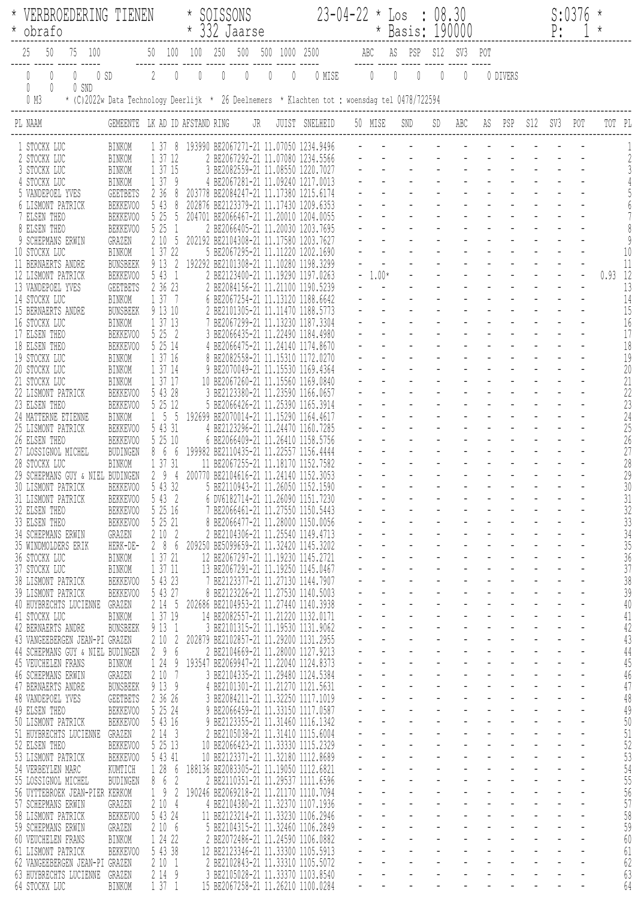| SOISSONS<br>VERBROEDERING TIENEN                                                                                                                                |                                    |                                         |                |                |             |              | $23 - 04 - 22 * Loss : 08.30$ |              |                                                                                    |        |  |             |                                  |                               |                                       | S:0376                                     |          |     |       |     |           |              |
|-----------------------------------------------------------------------------------------------------------------------------------------------------------------|------------------------------------|-----------------------------------------|----------------|----------------|-------------|--------------|-------------------------------|--------------|------------------------------------------------------------------------------------|--------|--|-------------|----------------------------------|-------------------------------|---------------------------------------|--------------------------------------------|----------|-----|-------|-----|-----------|--------------|
| * obrafo                                                                                                                                                        |                                    |                                         |                | * 332 Jaarse   |             |              |                               |              |                                                                                    |        |  |             | * Basis: 190000                  |                               |                                       |                                            |          |     | $P$ : |     | $\star$   |              |
| 75 100                                                                                                                                                          |                                    |                                         |                | 50 100 100 250 |             |              |                               |              | 500 500 1000 2500                                                                  |        |  |             | ABC AS PSP                       | S12 SV3                       |                                       | POT                                        |          |     |       |     |           |              |
| 0<br>$\mathbb{O}$<br>$0$ SD                                                                                                                                     |                                    | $\sqrt{2}$                              | $\bigcirc$     | $\sqrt{2}$     | $\emptyset$ | $\mathbb{O}$ | $\overline{0}$                | $\mathbb{O}$ |                                                                                    | 0 MISE |  | $\mathbb O$ | $\overline{0}$<br>$\overline{0}$ | 0                             | 0                                     |                                            | 0 DIVERS |     |       |     |           |              |
| $\mathbf{0}$<br>$\begin{matrix} \end{matrix}$<br>0 SND<br>* (C)2022w Data Technology Deerlijk * 26 Deelnemers * Klachten tot : woensdag tel 0478/722594<br>0 M3 |                                    |                                         |                |                |             |              |                               |              |                                                                                    |        |  |             |                                  |                               |                                       |                                            |          |     |       |     |           |              |
| PL NAAM                                                                                                                                                         | GEMEENTE LK AD ID AFSTAND RING     |                                         |                |                |             |              | JR                            |              | JUIST SNELHEID                                                                     |        |  | 50 MISE     | SND                              | SD                            | ABC                                   | AS                                         | PSP      | S12 | SV3   | POT | TOT PL    |              |
|                                                                                                                                                                 |                                    |                                         |                |                |             |              |                               |              |                                                                                    |        |  |             |                                  |                               |                                       |                                            |          |     |       |     |           |              |
| 1 STOCKX LUC<br>2 STOCKX LUC                                                                                                                                    | BINKOM<br>BINKOM                   | 1 37 12                                 |                |                |             |              |                               |              | 1 37 8 193990 BE2067271-21 11.07050 1234.9496<br>2 BE2067292-21 11.07080 1234.5566 |        |  |             |                                  |                               |                                       |                                            |          |     |       |     |           |              |
| 3 STOCKX LUC<br>4 STOCKX LUC                                                                                                                                    | BINKOM<br>BINKOM                   | 1 37 15<br>1379                         |                |                |             |              |                               |              | 3 BE2082559-21 11.08550 1220.7027<br>4 BE2067281-21 11.09240 1217.0013             |        |  |             |                                  |                               |                                       |                                            |          |     |       |     |           |              |
| 5 VANDEPOEL YVES                                                                                                                                                | <b>GEETBETS</b>                    | 2 3 6                                   |                |                |             |              |                               |              | 203778 BE2084247-21 11.17380 1215.6174                                             |        |  |             |                                  |                               |                                       |                                            |          |     |       |     |           |              |
| 6 LISMONT PATRICK<br>7 ELSEN THEO                                                                                                                               | BEKKEV00<br>BEKKEV00               | 5 43<br>5 25                            | 8<br>5         | 202876         |             |              |                               |              | BE2123379-21 11.17430 1209.6353<br>204701 BE2066467-21 11.20010 1204.0055          |        |  |             |                                  |                               |                                       |                                            |          |     |       |     |           |              |
| 8 ELSEN THEO                                                                                                                                                    | BEKKEVOO                           | 5 25                                    | $\overline{1}$ |                |             |              |                               |              | 2 BE2066405-21 11.20030 1203.7695                                                  |        |  |             |                                  |                               |                                       |                                            |          |     |       |     |           |              |
| 9 SCHEPMANS ERWIN<br>10 STOCKX LUC                                                                                                                              | GRAZEN<br>BINKOM                   | 210<br>1 37 22                          | - 5            |                |             |              |                               |              | 202192 BE2104308-21 11.17580 1203.7627<br>5 BE2067295-21 11.11220 1202.1690        |        |  |             |                                  |                               |                                       |                                            |          |     |       |     |           |              |
| 11 BERNAERTS ANDRE                                                                                                                                              | <b>BUNSBEEK</b><br>BEKKEV00        | 9 13<br>5 43 1                          | 2              |                |             |              |                               |              | 192292 BE2101308-21 11.10280 1198.3299<br>2 BE2123400-21 11.19290 1197.0263        |        |  | $-1.00*$    |                                  |                               |                                       |                                            |          |     |       |     | $0.93$ 12 | 11           |
| 12 LISMONT PATRICK<br>13 VANDEPOEL YVES                                                                                                                         | <b>GEETBETS</b>                    | 2 36 23                                 |                |                |             |              |                               |              | 2 BE2084156-21 11.21100 1190.5239                                                  |        |  |             |                                  |                               |                                       |                                            |          |     |       |     |           | 13           |
| 14 STOCKX LUC<br>15 BERNAERTS ANDRE                                                                                                                             | BINKOM<br><b>BUNSBEEK</b>          | 1 37 7<br>9 13 10                       |                |                |             |              |                               |              | 6 BE2067254-21 11.13120 1188.6642<br>2 BE2101305-21 11.11470 1188.5773             |        |  |             |                                  |                               |                                       |                                            |          |     |       |     |           | 14<br>15     |
| 16 STOCKX LUC                                                                                                                                                   | BINKOM                             | 1 37 13                                 |                |                |             |              |                               |              | 7 BE2067299-21 11.13230 1187.3304                                                  |        |  |             |                                  |                               |                                       |                                            |          |     |       |     |           | 16           |
| 17 ELSEN THEO<br>18 ELSEN THEO                                                                                                                                  | BEKKEV00<br>BEKKEVOO               | 5 25 2<br>5 25 14                       |                |                |             |              |                               |              | 3 BE2066435-21 11.22490 1184.4980<br>4 BE2066475-21 11.24140 1174.8670             |        |  |             |                                  |                               |                                       |                                            |          |     |       |     |           | 17<br>18     |
| 19 STOCKX LUC                                                                                                                                                   | BINKOM                             | 1 37 16                                 |                |                |             |              |                               |              | 8 BE2082558-21 11.15310 1172.0270                                                  |        |  |             |                                  |                               |                                       |                                            |          |     |       |     |           | 19           |
| 20 STOCKX LUC<br>21 STOCKX LUC                                                                                                                                  | BINKOM<br>BINKOM                   | 1 37 14<br>1 37 17                      |                |                |             |              |                               |              | 9 BE2070049-21 11.15530 1169.4364<br>10 BE2067260-21 11.15560 1169.0840            |        |  |             |                                  |                               |                                       |                                            |          |     |       |     |           | 20<br>21     |
| 22 LISMONT PATRICK<br>23 ELSEN THEO                                                                                                                             | BEKKEV00<br>BEKKEV00               | 5 43 28<br>5 25 12                      |                |                |             |              |                               |              | 3 BE2123380-21 11.23590 1166.0657<br>5 BE2066426-21 11.25390 1165.3914             |        |  |             |                                  |                               |                                       |                                            |          |     |       |     |           | 22<br>23     |
| 24 MATTERNE ETIENNE                                                                                                                                             | BINKOM                             | $1\quad5\quad5$                         |                |                |             |              |                               |              | 192699 BE2070014-21 11.15290 1164.4617                                             |        |  |             |                                  |                               |                                       |                                            |          |     |       |     |           | 24           |
| 25 LISMONT PATRICK<br>26 ELSEN THEO                                                                                                                             | BEKKEVOO<br>BEKKEV00               | 5 43 31<br>5 25 10                      |                |                |             |              |                               |              | 4 BE2123296-21 11.24470 1160.7285<br>6 BE2066409-21 11.26410 1158.5756             |        |  |             |                                  |                               |                                       |                                            |          |     |       |     |           | 25<br>26     |
| 27 LOSSIGNOL MICHEL                                                                                                                                             | BUDINGEN                           | 866                                     |                |                |             |              |                               |              | 199982 BE2110435-21 11.22557 1156.4444                                             |        |  |             |                                  |                               |                                       |                                            |          |     |       |     |           | 27           |
| 28 STOCKX LUC<br>29 SCHEPMANS GUY & NIEL BUDINGEN                                                                                                               | BINKOM                             | 1 37 31<br>29                           | $\frac{4}{3}$  |                |             |              |                               |              | 11 BE2067255-21 11.18170 1152.7582<br>200770 BE2104616-21 11.24140 1152.3053       |        |  |             |                                  |                               |                                       |                                            |          |     |       |     |           | 28<br>29     |
| 30 LISMONT PATRICK                                                                                                                                              | BEKKEV00                           | 5 43 32                                 |                |                |             |              |                               |              | 5 BE2110943-21 11.26050 1152.1590                                                  |        |  |             |                                  |                               |                                       |                                            |          |     |       |     |           | $30\,$       |
| 31 LISMONT PATRICK<br>32 ELSEN THEO                                                                                                                             | BEKKEV00<br>BEKKEV00               | 5 43 2<br>5 25 16                       |                |                |             |              |                               |              | 6 DV6182714-21 11.26090 1151.7230<br>7 BE2066461-21 11.27550 1150.5443             |        |  |             |                                  |                               |                                       |                                            |          |     |       |     |           | 31<br>32     |
| 33 ELSEN THEO<br>34 SCHEPMANS ERWIN                                                                                                                             | BEKKEVOO<br>GRAZEN                 | 5 25 21<br>2102                         |                |                |             |              |                               |              | 8 BE2066477-21 11.28000 1150.0056<br>2 BE2104306-21 11.25540 1149.4713             |        |  |             |                                  |                               |                                       |                                            |          |     |       |     |           | 33<br>34     |
| 35 WINDMOLDERS ERIK                                                                                                                                             | HERK-DE-                           | 286                                     |                |                |             |              |                               |              | 209250 BE5099659-21 11.32420 1145.3202                                             |        |  |             |                                  |                               |                                       |                                            |          |     |       |     |           | 35           |
| 36 STOCKX LUC<br>37 STOCKX LUC                                                                                                                                  | BINKOM<br>BINKOM                   | 1 37 21<br>1 37 11                      |                |                |             |              |                               |              | 12 BE2067297-21 11.19230 1145.2721<br>13 BE2067291-21 11.19250 1145.0467           |        |  |             |                                  | $\omega$                      | $\omega$                              | $\equiv$                                   |          |     |       |     |           | 36<br>37     |
| 38 LISMONT PATRICK                                                                                                                                              | BEKKEV00                           | 5 43 23                                 |                |                |             |              |                               |              | 7 BE2123377-21 11.27130 1144.7907                                                  |        |  |             | $\omega_{\rm{max}}$              | $\Delta \sim 100$             | $\sim 100$                            | $\Delta \sim 100$                          |          |     |       |     |           | 38           |
| 39 LISMONT PATRICK<br>40 HUYBRECHTS LUCIENNE                                                                                                                    | BEKKEV00<br>GRAZEN                 | 5 43 27<br>2 14 5                       |                |                |             |              |                               |              | 8 BE2123226-21 11.27530 1140.5003<br>202686 BE2104953-21 11.27440 1140.3938        |        |  |             |                                  |                               | $\blacksquare$                        |                                            |          |     |       |     |           | 39<br>40     |
| 41 STOCKX LUC<br>42 BERNAERTS ANDRE                                                                                                                             | BINKOM                             | 1 37 19<br>9131                         |                |                |             |              |                               |              | 14 BE2082557-21 11.21220 1132.0171<br>3 BE2101315-21 11.19530 1131.9062            |        |  |             |                                  |                               |                                       |                                            |          |     |       |     |           | 41<br>42     |
| 43 VANGEEBERGEN JEAN-PI GRAZEN                                                                                                                                  | <b>BUNSBEEK</b>                    | 210                                     | $\sqrt{2}$     |                |             |              |                               |              | 202879 BE2102857-21 11.29200 1131.2955                                             |        |  |             |                                  | $\omega$                      | $\omega$                              |                                            |          |     |       |     |           | 43           |
| 44 SCHEPMANS GUY & NIEL BUDINGEN<br>45 VEUCHELEN FRANS                                                                                                          | BINKOM                             | 29<br>1 24                              | 6<br>- 9       |                |             |              |                               |              | 2 BE2104669-21 11.28000 1127.9213<br>193547 BE2069947-21 11.22040 1124.8373        |        |  |             | $\sim$                           | $\Delta \sim 100$             | $\sim$<br>$\blacksquare$              |                                            |          |     |       |     |           | 44<br>45     |
| 46 SCHEPMANS ERWIN                                                                                                                                              | GRAZEN                             | 2107                                    |                |                |             |              |                               |              | 3 BE2104335-21 11.29480 1124.5384                                                  |        |  |             |                                  |                               |                                       |                                            |          |     |       |     |           | 46           |
| 47 BERNAERTS ANDRE<br>48 VANDEPOEL YVES                                                                                                                         | <b>BUNSBEEK</b><br><b>GEETBETS</b> | 9139<br>2 36 26                         |                |                |             |              |                               |              | 4 BE2101301-21 11.21270 1121.5631<br>3 BE2084211-21 11.32250 1117.1019             |        |  |             |                                  |                               |                                       |                                            |          |     |       |     |           | 47<br>$4\,8$ |
| 49 ELSEN THEO                                                                                                                                                   | BEKKEV00                           | 5 25 24                                 |                |                |             |              |                               |              | 9 BE2066459-21 11.33150 1117.0587                                                  |        |  |             |                                  | $\equiv$                      | $\omega$                              | $\overline{a}$                             |          |     |       |     |           | 49           |
| 50 LISMONT PATRICK<br>51 HUYBRECHTS LUCIENNE                                                                                                                    | BEKKEV00<br>GRAZEN                 | 5 43 16<br>2143                         |                |                |             |              |                               |              | 9 BE2123355-21 11.31460 1116.1342<br>2 BE2105038-21 11.31410 1115.6004             |        |  |             | $\omega_{\rm{max}}$              | $\Delta \sim 100$<br>$\equiv$ | $\sim 100$<br>$\blacksquare$          | $\Delta \sim 100$<br>$\Delta \sim 10^{-1}$ |          |     |       |     |           | 50<br>51     |
| 52 ELSEN THEO                                                                                                                                                   | BEKKEV00                           | 5 25 13                                 |                |                |             |              |                               |              | 10 BE2066423-21 11.33330 1115.2329                                                 |        |  |             |                                  |                               |                                       |                                            |          |     |       |     |           | 52           |
| 53 LISMONT PATRICK<br>54 VERBEYLEN MARC                                                                                                                         | BEKKEV00<br>KUMTICH                | 5 43 41<br>28                           | - 6            |                |             |              |                               |              | 10 BE2123371-21 11.32180 1112.8689<br>188136 BE2083305-21 11.19050 1112.6821       |        |  |             |                                  |                               |                                       |                                            |          |     |       |     |           | 53<br>54     |
| 55 LOSSIGNOL MICHEL<br>56 UYTTEBROEK JEAN-PIER                                                                                                                  | BUDINGEN                           | $6\overline{6}$<br>8 <sup>1</sup><br>19 | 2<br>2         |                |             |              |                               |              | 2 BE2110351-21 11.29537 1111.6596<br>190246 BE2069218-21 11.21170 1110.7094        |        |  |             | $\sim$                           | $\mathbb{Z}^2$<br>$\sim$      | $\mathcal{L}^{\mathcal{A}}$<br>$\sim$ |                                            |          |     |       |     |           | 55<br>56     |
| 57 SCHEPMANS ERWIN                                                                                                                                              | KERKOM<br>GRAZEN                   | 2104                                    |                |                |             |              |                               |              | 4 BE2104380-21 11.32370 1107.1936                                                  |        |  |             |                                  | $\blacksquare$                | $\sim$                                | $\blacksquare$                             |          |     |       |     |           | 57           |
| 58 LISMONT PATRICK<br>59 SCHEPMANS ERWIN                                                                                                                        | BEKKEV00<br>GRAZEN                 | 5 43 24<br>2106                         |                |                |             |              |                               |              | 11 BE2123214-21 11.33230 1106.2946<br>5 BE2104315-21 11.32460 1106.2849            |        |  |             |                                  |                               |                                       |                                            |          |     |       |     |           | 58<br>59     |
| 60 VEUCHELEN FRANS                                                                                                                                              | BINKOM                             | 1 24 22                                 |                |                |             |              |                               |              | 2 BE2072486-21 11.24590 1106.0882                                                  |        |  |             |                                  |                               |                                       |                                            |          |     |       |     |           | 60           |
| 61 LISMONT PATRICK<br>62 VANGEEBERGEN JEAN-PI GRAZEN                                                                                                            | BEKKEVOO                           | 5 43 38<br>2101                         |                |                |             |              |                               |              | 12 BE2123346-21 11.33300 1105.5913<br>2 BE2102843-21 11.33310 1105.5072            |        |  |             | $\sim$                           | $\overline{a}$<br>$\sim$      | $\mathbf{r}$<br>$\sim$                | $\overline{a}$<br>$\omega_{\rm{max}}$      |          |     |       |     |           | 61<br>62     |
| 63 HUYBRECHTS LUCIENNE                                                                                                                                          | GRAZEN                             | 2149                                    |                |                |             |              |                               |              | 3 BE2105028-21 11.33370 1103.8540                                                  |        |  |             | $\blacksquare$                   | $\sim$                        | $\blacksquare$                        |                                            |          |     |       |     |           | 63           |
| 64 STOCKX LUC                                                                                                                                                   | <b>BINKOM</b>                      | 1371                                    |                |                |             |              |                               |              | 15 BE2067258-21 11.26210 1100.0284                                                 |        |  |             |                                  |                               |                                       |                                            |          |     |       |     |           | 64           |